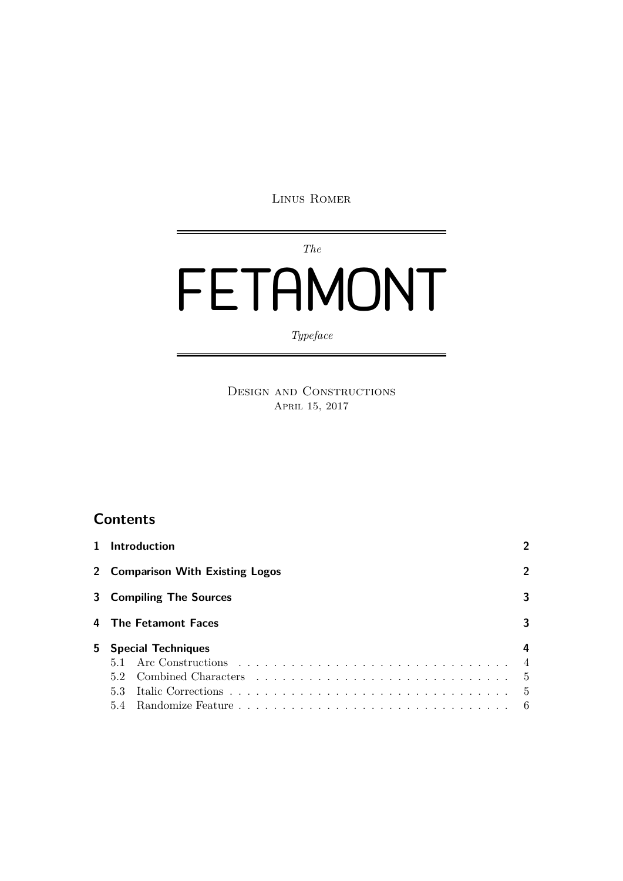Linus Romer

*The*

# FETAMONT

*Typeface*

Design and Constructions APRIL 15, 2017

## **Contents**

| 1 Introduction                   |     |  |  |  |  |  |
|----------------------------------|-----|--|--|--|--|--|
| 2 Comparison With Existing Logos |     |  |  |  |  |  |
| 3 Compiling The Sources          |     |  |  |  |  |  |
| 4 The Fetamont Faces             |     |  |  |  |  |  |
| 5 Special Techniques<br>4        |     |  |  |  |  |  |
|                                  |     |  |  |  |  |  |
| 52                               | - 5 |  |  |  |  |  |
| 5.3                              | - 5 |  |  |  |  |  |
|                                  | - 6 |  |  |  |  |  |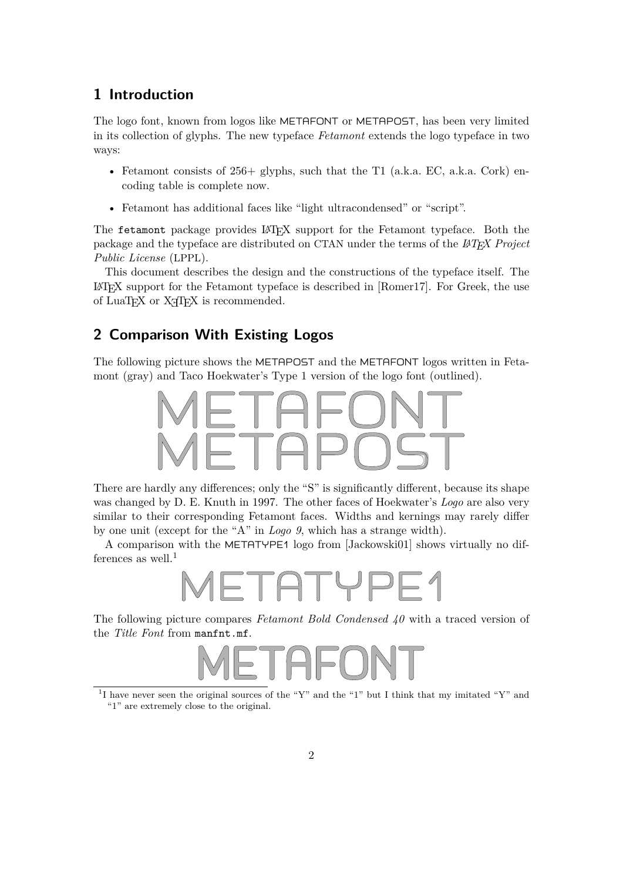## <span id="page-1-0"></span>**1 Introduction**

The logo font, known from logos like METAFONT or METAPOST, has been very limited in its collection of glyphs. The new typeface *Fetamont* extends the logo typeface in two ways:

- Fetamont consists of  $256+$  glyphs, such that the T1 (a.k.a. EC, a.k.a. Cork) encoding table is complete now.
- Fetamont has additional faces like "light ultracondensed" or "script".

The fetamont package provides LAT<sub>E</sub>X support for the Fetamont typeface. Both the package and the typeface are distributed on CTAN under the terms of the *LAT<sub>E</sub>X* Project *Public License* (LPPL).

This document describes the design and the constructions of the typeface itself. The  $\Delta E$ T<sub>EX</sub> support for the Fetamont typeface is described in [\[Romer17\]](#page-5-1). For Greek, the use of LuaT<sub>EX</sub> or X<sub>T</sub>T<sub>EX</sub> is recommended.

#### <span id="page-1-1"></span>**2 Comparison With Existing Logos**

The following picture shows the METAPOST and the METAFONT logos written in Fetamont (gray) and Taco Hoekwater's Type 1 version of the logo font (outlined).



There are hardly any diferences; only the "S" is significantly diferent, because its shape was changed by D. E. Knuth in 1997. The other faces of Hoekwater's *Logo* are also very similar to their corresponding Fetamont faces. Widths and kernings may rarely difer by one unit (except for the "A" in *Logo 9*, which has a strange width).

A comparison with the METATYPE1 logo from [\[Jackowski01\]](#page-5-2) shows virtually no dif-ferences as well.<sup>[1](#page-1-2)</sup>



The following picture compares *Fetamont Bold Condensed 40* with a traced version of the *Title Font* from manfnt.mf.



<span id="page-1-2"></span><sup>&</sup>lt;sup>1</sup>I have never seen the original sources of the "Y" and the "1" but I think that my imitated "Y" and "1" are extremely close to the original.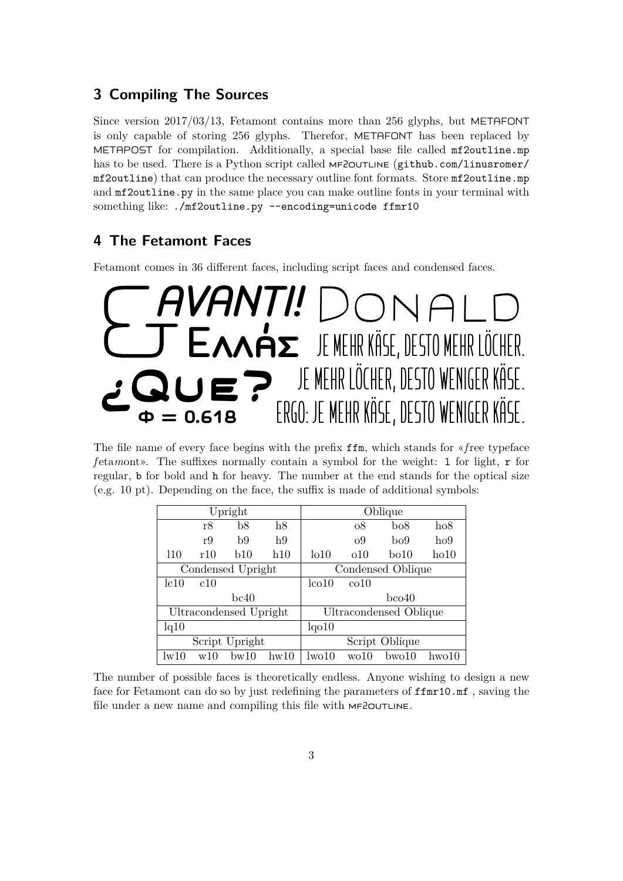## <span id="page-2-0"></span>**3 Compiling The Sources**

Since version  $2017/03/13$ , Fetamont contains more than 256 glyphs, but METAFONT is only capable of storing 256 glyphs. Therefor, METAFONT has been replaced by METAPOST for compilation. Additionally, a special base file called mf2outline.mp has to be used. There is a Python script called MF2OUTLINE ([github.com/linusromer/](github.com/linusromer/mf2outline) [mf2outline](github.com/linusromer/mf2outline)) that can produce the necessary outline font formats. Store mf2outline.mp and mf2outline.py in the same place you can make outline fonts in your terminal with something like: ./mf2outline.py --encoding=unicode ffmr10

## <span id="page-2-1"></span>**4 The Fetamont Faces**

Fetamont comes in 36 diferent faces, including script faces and condensed faces.



The file name of every face begins with the prefix ffm, which stands for «*f*ree typeface *f* eta*m*ont». The suffixes normally contain a symbol for the weight: 1 for light, r for regular, b for bold and h for heavy. The number at the end stands for the optical size  $(e.g. 10 \text{ pt})$ . Depending on the face, the suffix is made of additional symbols:

| Upright                |     |      |      | Oblique                |                   |                  |             |
|------------------------|-----|------|------|------------------------|-------------------|------------------|-------------|
|                        | r8  | b8   | h8   |                        | $\overline{08}$   | bo8              | ho8         |
|                        | r9  | b9   | h9   |                        | O <sub>2</sub>    | b <sub>0</sub> 9 | ho9         |
| 110                    | r10 | b10  | h10  | 1010                   | 010               | $\rm bo10$       | ho10        |
| Condensed Upright      |     |      |      | Condensed Oblique      |                   |                  |             |
| lc10                   | c10 |      |      | $l_{\rm co10}$         | co10              |                  |             |
| bc40                   |     |      |      | $b$ co $40$            |                   |                  |             |
| Ultracondensed Upright |     |      |      | Ultracondensed Oblique |                   |                  |             |
| lq10                   |     |      |      | lqo10                  |                   |                  |             |
| Script Upright         |     |      |      | Script Oblique         |                   |                  |             |
| $\rm{lw10}$            | w10 | bw10 | hw10 | 1w010                  | w <sub>0</sub> 10 | $b$ wo $10$      | $h$ wo $10$ |

The number of possible faces is theoretically endless. Anyone wishing to design a new face for Fetamont can do so by just redefining the parameters of ffmr10.mf , saving the file under a new name and compiling this file with  $MF2$ OUTLINE.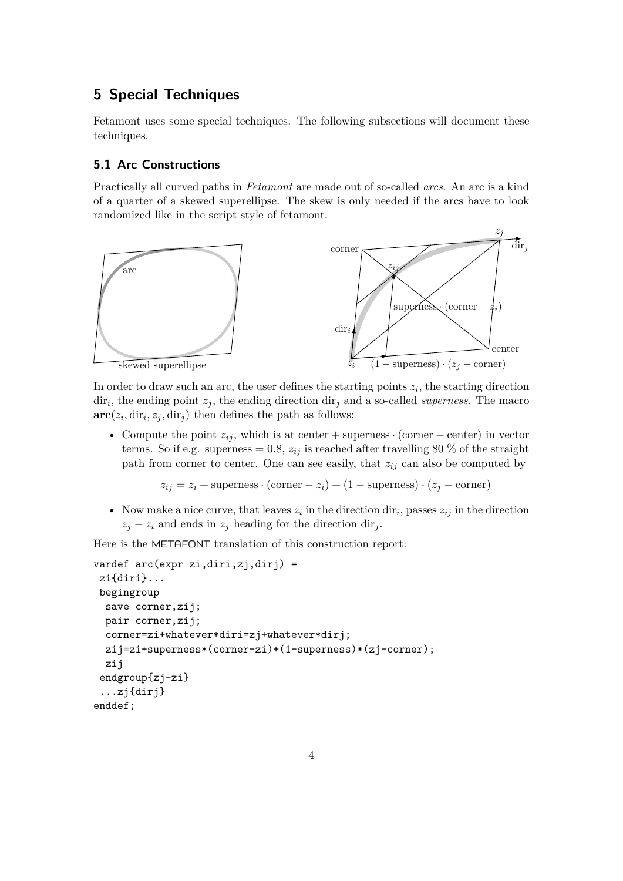## <span id="page-3-0"></span>**5 Special Techniques**

Fetamont uses some special techniques. The following subsections will document these techniques.

#### <span id="page-3-1"></span>**5.1 Arc Constructions**

Practically all curved paths in *Fetamont* are made out of so-called *arcs*. An arc is a kind of a quarter of a skewed superellipse. The skew is only needed if the arcs have to look randomized like in the script style of fetamont.



skewed superellipse

In order to draw such an arc, the user defines the starting points  $z_i$ , the starting direction  $\text{dir}_i$ , the ending point  $z_j$ , the ending direction  $\text{dir}_j$  and a so-called *superness*. The macro  $\mathbf{arc}(z_i, \text{dir}_i, z_j, \text{dir}_j)$  then defines the path as follows:

• Compute the point  $z_{ij}$ , which is at center + superness · (corner – center) in vector terms. So if e.g. superness = 0.8,  $z_{ij}$  is reached after travelling 80 % of the straight path from corner to center. One can see easily, that  $z_{ij}$  can also be computed by

 $z_{ij} = z_i + \text{superness} \cdot (\text{corner} - z_i) + (1 - \text{superness}) \cdot (z_j - \text{corner})$ 

• Now make a nice curve, that leaves  $z_i$  in the direction  $\text{dir}_i$ , passes  $z_{ij}$  in the direction  $z_j - z_i$  and ends in  $z_j$  heading for the direction dir<sub>j</sub>.

Here is the METAFONT translation of this construction report:

```
vardef arc(expr zi,diri,zj,dirj) =
zi{diri}...
begingroup
  save corner, zij;
 pair corner,zij;
 corner=zi+whatever*diri=zj+whatever*dirj;
 zij=zi+superness*(corner-zi)+(1-superness)*(zj-corner);
 zij
endgroup{zj-zi}
 ...zj{dirj}
enddef;
```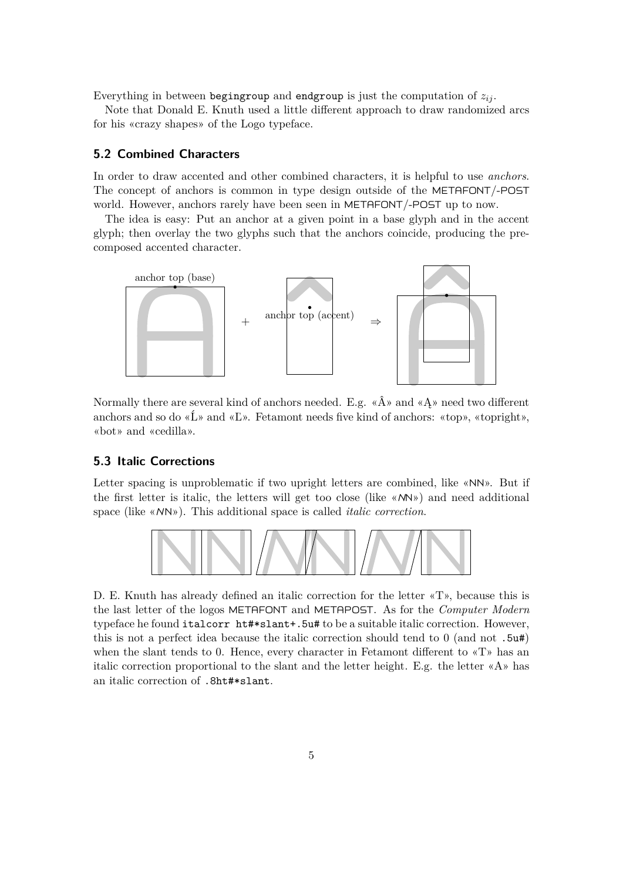Everything in between begingroup and endgroup is just the computation of  $z_{ij}$ .

Note that Donald E. Knuth used a little diferent approach to draw randomized arcs for his «crazy shapes» of the Logo typeface.

#### <span id="page-4-0"></span>**5.2 Combined Characters**

In order to draw accented and other combined characters, it is helpful to use *anchors*. The concept of anchors is common in type design outside of the METAFONT/-POST world. However, anchors rarely have been seen in METAFONT/-POST up to now.

The idea is easy: Put an anchor at a given point in a base glyph and in the accent glyph; then overlay the two glyphs such that the anchors coincide, producing the precomposed accented character.



Normally there are several kind of anchors needed. E.g.  $\langle \hat{A} \rangle$  and  $\langle A \rangle$  need two different anchors and so do « $\mathbf{L}$ » and « $\mathbf{L}$ ». Fetamont needs five kind of anchors: «top», «topright», «bot» and «cedilla».

#### <span id="page-4-1"></span>**5.3 Italic Corrections**

Letter spacing is unproblematic if two upright letters are combined, like «NN». But if the first letter is italic, the letters will get too close (like «NN») and need additional space (like «NN»). This additional space is called *italic correction*.



D. E. Knuth has already defined an italic correction for the letter «T», because this is the last letter of the logos METAFONT and METAPOST. As for the *Computer Modern* typeface he found italcorr ht#\*slant+.5u# to be a suitable italic correction. However, this is not a perfect idea because the italic correction should tend to 0 (and not .5u#) when the slant tends to 0. Hence, every character in Fetamont diferent to «T» has an italic correction proportional to the slant and the letter height. E.g. the letter  $\alpha A$ » has an italic correction of .8ht#\*slant.